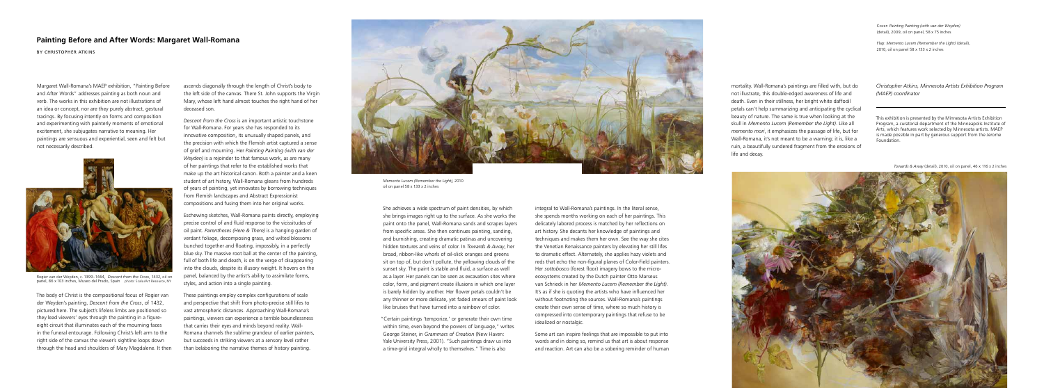She achieves a wide spectrum of paint densities, by which she brings images right up to the surface. As she works the paint onto the panel, Wall-Romana sands and scrapes layers from specific areas. She then continues painting, sanding, and burnishing, creating dramatic patinas and uncovering hidden textures and veins of color. In *Towards & Away*, her broad, ribbon-like whorls of oil-slick oranges and greens sit on top of, but don't pollute, the yellowing clouds of the sunset sky. The paint is stable and fluid, a surface as well as a layer. Her panels can be seen as excavation sites where color, form, and pigment create illusions in which one layer is barely hidden by another. Her flower petals couldn't be any thinner or more delicate, yet faded smears of paint look like bruises that have turned into a rainbow of color.

"Certain paintings 'temporize,' or generate their own time within time, even beyond the powers of language," writes George Steiner, in *Grammars of Creation* (New Haven: Yale University Press, 2001). "Such paintings draw us into a time-grid integral wholly to themselves." Time is also

integral to Wall-Romana's paintings. In the literal sense, she spends months working on each of her paintings. This delicately labored process is matched by her reflections on art history. She decants her knowledge of paintings and techniques and makes them her own. See the way she cites the Venetian Renaissance painters by elevating her still lifes to dramatic effect. Alternately, she applies hazy violets and reds that echo the non-figural planes of Color-Field painters. Her *sottobosco* (forest floor) imagery bows to the microecosystems created by the Dutch painter Otto Marseus van Schrieck in her *Memento Lucem (Remember the Light)*. It's as if she is quoting the artists who have influenced her without footnoting the sources. Wall-Romana's paintings create their own sense of time, where so much history is compressed into contemporary paintings that refuse to be idealized or nostalgic.



Rogier van der Weyden, c. 1399–1464, *Descent from the Cross*, 1432, oil on panel, 86 x 103 inches, Museo del Prado, Spain photo: Scala/Art Resource, NY

Some art can inspire feelings that are impossible to put into words and in doing so, remind us that art is about response and reaction. Art can also be a sobering reminder of human

## **Painting Before and After Words: Margaret Wall-Romana**

By CHRISTOPHER ATKINS

Cover: *Painting Painting (with van der Weyden)* (detail), 2009, oil on panel, 58 x 75 inches

Flap: *Memento Lucem (Remember the Light)* (detail), 2010, oil on panel 58 x 133 x 2 inches

mortality. Wall-Romana's paintings are filled with, but do not illustrate, this double-edged awareness of life and death. Even in their stillness, her bright white daffodil petals can't help summarizing and anticipating the cyclical beauty of nature. The same is true when looking at the skull in *Memento Lucem (Remember the Light)*. Like all *memento mori*, it emphasizes the passage of life, but for Wall-Romana, it's not meant to be a warning; it is, like a ruin, a beautifully sundered fragment from the erosions of life and decay.

*Christopher Atkins, Minnesota Artists Exhibition Program (MAEP) coordinator*

This exhibition is presented by the Minnesota Artists Exhibition Program, a curatorial department of the Minneapolis Institute of Arts, which features work selected by Minnesota artists. MAEP is made possible in part by generous support from the Jerome Foundation.

Margaret Wall-Romana's MAEP exhibition, "Painting Before and After Words" addresses painting as both noun and verb. The works in this exhibition are not illustrations of an idea or concept, nor are they purely abstract, gestural tracings. By focusing intently on forms and composition and experimenting with painterly moments of emotional excitement, she subjugates narrative to meaning. Her paintings are sensuous and experiential, seen and felt but not necessarily described.

The body of Christ is the compositional focus of Rogier van der Weyden's painting, *Descent from the Cross*, of 1432, pictured here. The subject's lifeless limbs are positioned so they lead viewers' eyes through the painting in a figureeight circuit that illuminates each of the mourning faces in the funeral entourage. Following Christ's left arm to the right side of the canvas the viewer's sightline loops down through the head and shoulders of Mary Magdalene. It then

ascends diagonally through the length of Christ's body to the left side of the canvas. There St. John supports the Virgin Mary, whose left hand almost touches the right hand of her deceased son.

*Descent from the Cross* is an important artistic touchstone for Wall-Romana. For years she has responded to its innovative composition, its unusually shaped panels, and the precision with which the Flemish artist captured a sense of grief and mourning. Her *Painting Painting (with van der Weyden)* is a rejoinder to that famous work, as are many of her paintings that refer to the established works that make up the art historical canon. Both a painter and a keen student of art history, Wall-Romana gleans from hundreds of years of painting, yet innovates by borrowing techniques from Flemish landscapes and Abstract Expressionist compositions and fusing them into her original works.

Eschewing sketches, Wall-Romana paints directly, employing precise control of and fluid response to the vicissitudes of oil paint. *Parentheses (Here & There)* is a hanging garden of verdant foliage, decomposing grass, and wilted blossoms bunched together and floating, impossibly, in a perfectly blue sky. The massive root ball at the center of the painting, full of both life and death, is on the verge of disappearing into the clouds, despite its illusory weight. It hovers on the panel, balanced by the artist's ability to assimilate forms, styles, and action into a single painting.

These paintings employ complex configurations of scale and perspective that shift from photo-precise still lifes to vast atmospheric distances. Approaching Wall-Romana's paintings, viewers can experience a terrible boundlessness that carries their eyes and minds beyond reality. Wall-Romana channels the sublime grandeur of earlier painters, but succeeds in striking viewers at a sensory level rather than belaboring the narrative themes of history painting.



*Memento Lucem (Remember the Light)*, 2010 oil on panel 58 x 133 x 2 inches

*Towards & Away* (detail), 2010, oil on panel, 46 x 116 x 2 inches